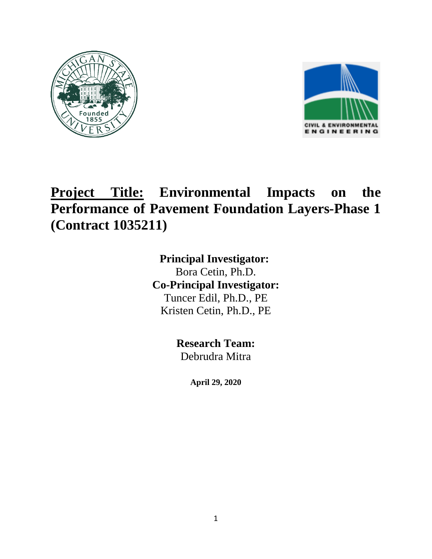



## **Project Title: Environmental Impacts on the Performance of Pavement Foundation Layers-Phase 1 (Contract 1035211)**

**Principal Investigator:**  Bora Cetin, Ph.D. **Co-Principal Investigator:** Tuncer Edil, Ph.D., PE Kristen Cetin, Ph.D., PE

> **Research Team:** Debrudra Mitra

> > **April 29, 2020**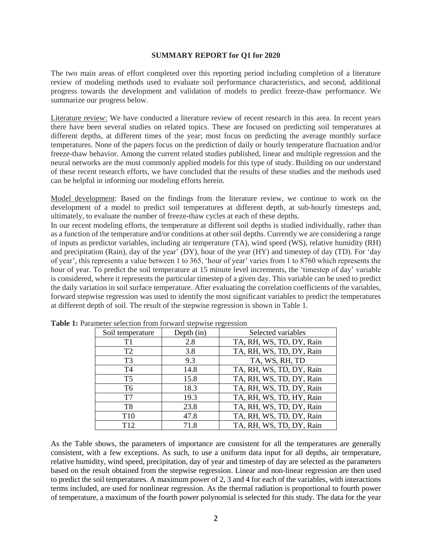## **SUMMARY REPORT for Q1 for 2020**

The two main areas of effort completed over this reporting period including completion of a literature review of modeling methods used to evaluate soil performance characteristics, and second, additional progress towards the development and validation of models to predict freeze-thaw performance. We summarize our progress below.

Literature review: We have conducted a literature review of recent research in this area. In recent years there have been several studies on related topics. These are focused on predicting soil temperatures at different depths, at different times of the year; most focus on predicting the average monthly surface temperatures. None of the papers focus on the prediction of daily or hourly temperature fluctuation and/or freeze-thaw behavior. Among the current related studies published, linear and multiple regression and the neural networks are the most commonly applied models for this type of study. Building on our understand of these recent research efforts, we have concluded that the results of these studies and the methods used can be helpful in informing our modeling efforts herein.

Model development: Based on the findings from the literature review, we continue to work on the development of a model to predict soil temperatures at different depth, at sub-hourly timesteps and, ultimately, to evaluate the number of freeze-thaw cycles at each of these depths.

In our recent modeling efforts, the temperature at different soil depths is studied individually, rather than as a function of the temperature and/or conditions at other soil depths. Currently we are considering a range of inputs as predictor variables, including air temperature (TA), wind speed (WS), relative humidity (RH) and precipitation (Rain), day of the year' (DY), hour of the year (HY) and timestep of day (TD). For 'day of year', this represents a value between 1 to 365, 'hour of year' varies from 1 to 8760 which represents the hour of year. To predict the soil temperature at 15 minute level increments, the 'timestep of day' variable is considered, where it represents the particular timestep of a given day. This variable can be used to predict the daily variation in soil surface temperature. After evaluating the correlation coefficients of the variables, forward stepwise regression was used to identify the most significant variables to predict the temperatures at different depth of soil. The result of the stepwise regression is shown in Table 1.

| Soil temperature | Depth $(in)$ | Selected variables       |
|------------------|--------------|--------------------------|
| T1               | 2.8          | TA, RH, WS, TD, DY, Rain |
| T <sub>2</sub>   | 3.8          | TA, RH, WS, TD, DY, Rain |
| T <sub>3</sub>   | 9.3          | TA, WS, RH, TD           |
| T <sub>4</sub>   | 14.8         | TA, RH, WS, TD, DY, Rain |
| T <sub>5</sub>   | 15.8         | TA, RH, WS, TD, DY, Rain |
| T <sub>6</sub>   | 18.3         | TA, RH, WS, TD, DY, Rain |
| T <sub>7</sub>   | 19.3         | TA, RH, WS, TD, HY, Rain |
| T <sub>8</sub>   | 23.8         | TA, RH, WS, TD, DY, Rain |
| T <sub>10</sub>  | 47.8         | TA, RH, WS, TD, DY, Rain |
| T12              | 71.8         | TA, RH, WS, TD, DY, Rain |

**Table 1:** Parameter selection from forward stepwise regression

As the Table shows, the parameters of importance are consistent for all the temperatures are generally consistent, with a few exceptions. As such, to use a uniform data input for all depths, air temperature, relative humidity, wind speed, precipitation, day of year and timestep of day are selected as the parameters based on the result obtained from the stepwise regression. Linear and non-linear regression are then used to predict the soil temperatures. A maximum power of 2, 3 and 4 for each of the variables, with interactions terms included, are used for nonlinear regression. As the thermal radiation is proportional to fourth power of temperature, a maximum of the fourth power polynomial is selected for this study. The data for the year